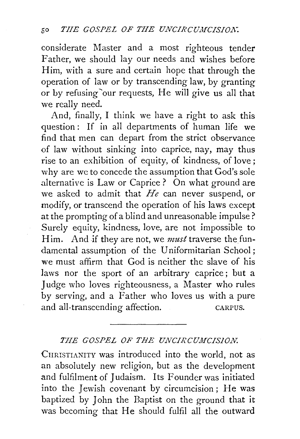considerate Master and a most righteous tender Father, we should lay our needs and wishes before Him, with a sure and certain hope that through the operation of law or by transcending law, by granting or by refusing 'our requests, He will give us all that we really need.

And, finally, I think we have a right to ask this question: If in all departments of human life we find that men can depart from the strict observance of law without sinking into caprice, nay, may thus rise to an exhibition of equity, of kindness, of love; why are we to concede the assumption that God's sole alternative is Law or Caprice ? On what ground are we asked to admit that *He* can never suspend, or modify, or transcend the operation of his laws except at the prompting of a blind and unreasonable impulse? Surely equity, kindness, love, are not impossible to Him. And if they are not, we *must* traverse the fundamental assumption of the Uniformitarian School; we must affirm that God is neither the slave of his laws nor the sport of an arbitrary caprice; but a Judge who loves righteousness, a Master who rules by serving, and a Father who loves us with a pure and all-transcending affection. CARPUS.

## THE GOSPEL OF THE UNCIRCUMCISION.

CHRISTIANITY was introduced into the world, not as an absolutely new religion, but as the development and fulfilment of Judaism. Its Founder was initiated into the Jewish covenant by circumcision; He was baptized by John the Baptist on the ground that it was becoming that He should fulfil all the outward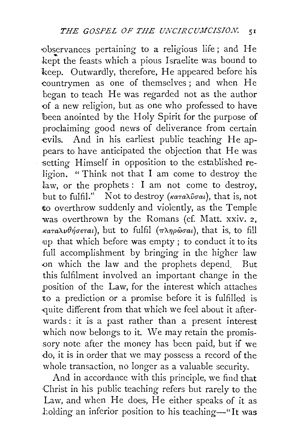'Observances pertaining to a religious life; and He kept the feasts which a pious Israelite was bound to keep. Outwardly, therefore, He appeared before his -countrymen as one of themselves; and when He began to teach He was regarded not as the author of a new religion, but as one who professed to have been anointed by the Holy Spirit for the purpose of proclaiming good news of deliverance from certain evils. And in his earliest public teaching He appears to have anticipated the objection that He was setting Himself in opposition to the established religion. " Think not that I am come to destroy the law, or the prophets : I am not come to destroy, but to fulfil." Not to destroy *(Kataluotat)*, that is, not to overthrow suddenly and violently, as the Temple was overthrown by the Romans (cf. Matt. xxiv. 2, *καταλυθήσεται*), but to fulfil (πληρώσαι), that is, to fill •up that which before was empty ; to conduct it to its full accomplishment by bringing in the higher law -on which the law and the prophets depend. But this fulfilment involved an important change in the position of the Law, for the interest which attaches to a prediction or a promise before it is fulfilled is -quite different from that which we feel about it afterwards : it is a past rather than a present interest which now belongs to it. We may retain the promissory note after the money has been paid, but if we ·do, it is in order that we may possess a record of the whole transaction, no longer as a valuable security.

And in accordance with this principle, we find that Christ in his public teaching refers but rarely to the Law, and when He does, He either speaks of it as holding an inferior position to his teaching-"It was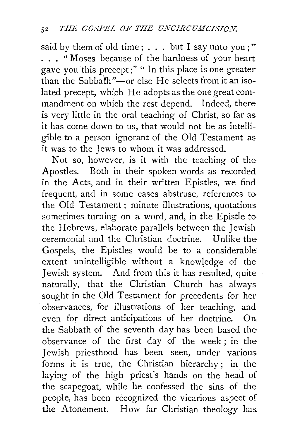said by them of old time;  $\ldots$  but I say unto you;" ... "Moses because of the hardness of your heart gave you this precept;" " In this place is one greater  $\frac{1}{2}$  than the Sabbath"-or else He selects from it an isolated precept, which He adopts as the one great commandment on which the rest depend. Indeed, there is very little in the oral teaching of Christ, so far as. it has come down to us, that would not be as intelligible to a person ignorant of the Old Testament as it was to the Jews to whom it was addressed.

Not so, however, is it with the teaching of the Apostles. Both in their spoken words as recorded in the Acts, and in their written Epistles, we find frequent, and in some cases abstruse, references to the Old Testament; minute illustrations, quotations sometimes turning on a word, and, in the Epistle to the Hebrews, elaborate parallels between the Jewish ceremonial and the Christian doctrine. Unlike the Gospels, the Epistles would be to a considerable extent unintelligible without a knowledge of the Jewish system. And from this it has resulted, quite naturally, that the Christian Church has always sought in the Old Testament for precedents for her ·observances, for illustrations of her teaching, and even for direct anticipations of her doctrine. On the Sabbath of the seventh day has been based the: observance of the first day of the week ; in the Jewish priesthood has been seen, under various forms it is true, the Christian hierarchy ; in the laying of the high priest's hands on the head of the scapegoat, while he confessed the sins of the people, has been recognized the vicarious aspect of the Atonement. How far Christian theology has.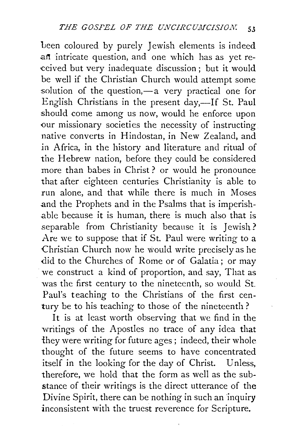been coloured by purely Jewish elements is indeed .an intricate question, and one which has as yet re- •ceived but very inadequate discussion; but it would be well if the Christian Church would attempt some solution of the question, $-a$  very practical one for English Christians in the present day,—If St. Paul should come among us now, would he enforce upon our missionary societies the necessity of instructing native converts in Hindostan, in New Zealand, and in Africa, in the history and literature and ritual of the Hebrew nation, before they could be considered more than babes in Christ ? or would he pronounce that after eighteen centuries Christianity is able to run alone, and that while there is much in Moses .and the Prophets and in the Psalms that is imperish- .able because it is human, there is much also that is separable from Christianity because it is Jewish? Are we to suppose that if St. Paul were writing to a Christian Church now he would write precisely as he did to the Churches of Rome or of Galatia; or may we construct a kind of proportion, and say, That as was the first century to the nineteenth, so would St. Paul's teaching to the Christians of the first century be to his teaching to those of the nineteenth?

It is at least worth observing that we find in the writings of the Apostles no trace of any idea that they were writing for future ages ; indeed, their whole thought of the future seems to have concentrated itself in the looking for the day of Christ. Unless, therefore, we hold that the form as well as the substance of their writings is the direct utterance of the Divine Spirit, there can be nothing in such an inquiry inconsistent with the truest reverence for Scripture.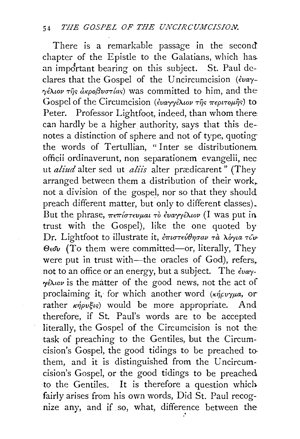There is a remarkable passage in the second chapter of the Epistle to the Galatians, which has. an impdrtant bearing on this subject. St. Paul declares that the Gospel of the Uncircumcision ( $\epsilon$ vay-*'';eA.wv* ·n}; *axpo/3uln{a,)* was committed to him, and the Gospel of the Circumcision *(εναγγέλιον της περιτομής)* to Peter. Professor Lightfoot, indeed, than whom there: can hardly be a higher authority, says that this denotes a distinction of sphere and not of type, quotingthe words of Tertullian, "Inter se distributionem officii ordinaverunt, non separationem evangelii, nee ut *aliud* alter sed ut *aliis* alter prædicarent" (They arranged between them a distribution of their work,. not a division of the gospel, nor so that they should preach different matter, but only to different classes). But the phrase,  $\pi \epsilon \pi / \sigma \tau \epsilon \nu \mu a \tau$   $\phi$   $\epsilon \nu a \gamma \gamma \epsilon \lambda \omega \nu$  (I was put in trust with the Gospel), like the one quoted by Dr. Lightfoot to illustrate it, επιστεύθησαν τα λόγια των  $\Theta$ <sub>ε</sub> $\Phi$  (To them were committed—or, literally, They were put in trust with-the oracles of God), refers, not to an office or an energy, but a subject. The  $\epsilon_{\nu\alpha\gamma}$ - $\gamma$ *é* $\lambda$ *iov* is the matter of the good news, not the act of proclaiming it, for which another word  $(\kappa \eta_{F} \nu \gamma \mu a, \text{ or }$ rather  $\kappa \acute{\eta} \rho \nu \xi \iota s$  would be more appropriate. And therefore, if St. Paul's words are to be accepted literally, the Gospel of the Circumcision is not the task of preaching to the Gentiles, but the Circumcision's Gospel, the good tidings to be preached to· them, and it is distinguished from the Uncircumcision's Gospel, or the good tidings to be preached to the Gentiles. It is therefore a question which fairly arises from his own words, Did St. Paul recognize any, and if so, what, difference between the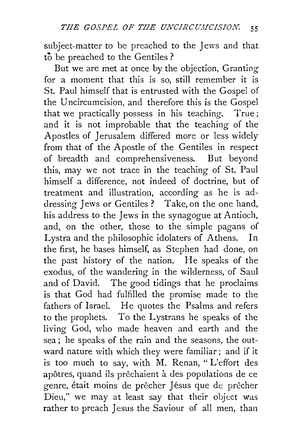subject-matter to be preached to the Jews and that to be preached to the Gentiles?

But we are met at once by the objection, Granting for a moment that this is so, still remember it is St. Paul himself that is entrusted with the Gospel of the Uncircumcision, and therefore this is the Gospel that we practically possess in his teaching. True; and it is not improbable that the teaching of the Apostles of Jerusalem differed more or less widely from that of the Apostle of the Gentiles in respect of breadth and comprehensiveness. But beyond this, may we not trace in the teaching of St. Paul himself a difference, not indeed of doctrine, but of treatment and illustration, according as he is addressing Jews or Gentiles? Take, on the one hand, his address to the Jews in the synagogue at Antioch, and, on the other, those to the simple pagans of Lystra and the philosophic idolaters of Athens. In the first, he bases himself, as Stephen had done, on the past history of the nation. He speaks of the exodus, of the wandering in the wilderness, of Saul and of David. The good tidings that he proclaims is that God had fulfilled the promise made to the fathers of Israel. He quotes the Psalms and refers to the prophets. To the Lystrans he speaks of the living God, who made heaven and earth and the sea; he speaks of the rain and the seasons, the outward nature with which they were familiar; and if it is too much to say, with M. Renan, "L'effort des apôtres, quand ils prêchaient à des populations de ce genre, était moins de prêcher Jésus que de prêcher Dieu," we may at least say that their object was rather to preach Jesus the Saviour of all men, than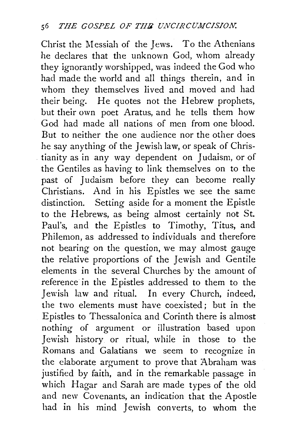Christ the Messiah of the Jews. To the Athenians he declares that the unknown God, whom already they ignorantly worshipped, was indeed the God who had made the world and all things therein, and in whom they themselves lived and moved and had their being. He quotes not the Hebrew prophets, but their own poet Aratus, and he tells them how God had made all nations of men from one blood. But to neither the one audience nor the other does he say anything of the Jewish law, or speak of Christianity as in any way dependent on Judaism, or of the Gentiles as having to link themselves on to the past of Judaism before they can become really Christians. And in his Epistles we see the same distinction. Setting aside for a moment the Epistle to the Hebrews, as being almost certainly not St. Paul's, and the Epistles to Timothy, Titus, and Philemon, as addressed to individuals and therefore not bearing on the question, we may almost gauge the relative proportions of the Jewish and Gentile elements in the several Churches by the amount of reference in the Epistles addressed to them to the Jewish law and ritual. In every Church, indeed, the two elements must have coexisted; but in the Epistles to Thessalonica and Corinth there is almost nothing of argument or illustration based upon Jewish history or ritual, while in those to the Romans and Galatians we seem to recognize in the elaborate argument to prove that Abraham was justified by faith, and in the remarkable passage in which Hagar and Sarah are made types of the old and new Covenants, an indication that the Apostle had in his mind Jewish converts, to whom the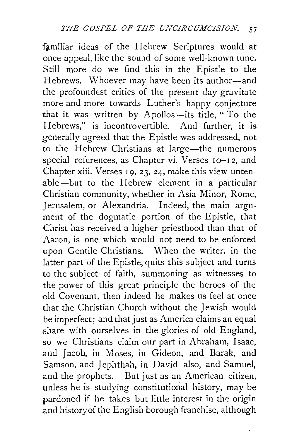familiar ideas of the Hebrew Scriptures would at once appeal, like the sound of some well-known tune. Still more do we find this in the Epistle to the Hebrews. Whoever may have been its author-and the profoundest critics of the present day gravitate more and more towards Luther's happy conjecture that it was written by Apollos--its title, "To the Hebrews," is incontrovertible. And further, it is generally agreed that the Epistle was addressed, not to the Hebrew Christians at large-the numerous special references, as Chapter vi. Verses 10-12, and Chapter xiii. Verses 19, 23, 24, make this view untenable-but to the Hebrew element in a particular Christian community, whether in Asia Minor, Rome, Jerusalem, or Alexandria. Indeed, the main argument of the dogmatic portion of the Epistle, that Christ has received a higher priesthood than that of Aaron, is one which would not need to be enforced upon Gentile Christians. \Vhen the writer, in the latter part of the Epistle, quits this subject and turns to the subject of faith, summoning as witnesses to the power of this great principle the heroes of the old Covenant, then indeed he makes us feel at once that the Christian Church without the Jewish would be imperfect; and that just as America claims an equal share with ourselves in the glories of old England, so we Christians claim our part in Abraham, Isaac, and Jacob, in Moses, in Gideon, and Barak, and Samson, and Jephthah, in David also, and Samuel, and the prophets. But just as an American citizen, unless he is studying constitutional history, may be pardoned if he takes but little interest in the origin and history of the English borough franchise, although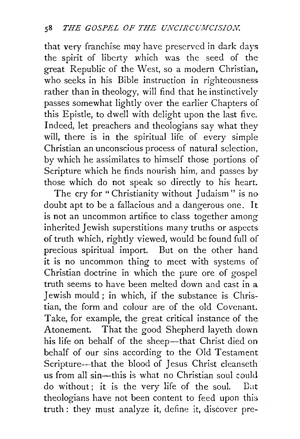that very franchise may have preserved in dark days the spirit of liberty which was the seed of the great Republic of the West, so a modern Christian, who seeks in his Bible instruction in righteousness rather than in theology, will find that he instinctively passes somewhat lightly over the earlier Chapters of this Epistle, to dwell with delight upon the last five. Indeed, let preachers and theologians say what they will, there is in the spiritual life of every simple Christian an unconscious process of natural selection, by which he assimilates to himself those portions of Scripture which he finds nourish him, and passes by those which do not speak so directly to his heart.

The cry for "Christianity without Judaism" is no doubt apt to be a fallacious and a dangerous one. It is not an uncommon artifice to class together among inherited Jewish superstitions many truths or aspects of truth which, rightly viewed, would be found full of precious spiritual import. But on the other hand it is no uncommon thing to meet with systems of Christian doctrine in which the pure ore of gospel truth seems to have been melted down and cast in a Jewish mould ; in which, if the substance is Christian, the form and colour are of the old Covenant. Take, for example, the great critical instance of the Atonement. That the good Shepherd layeth down his life on behalf of the sheep-that Christ died on behalf of our sins according to the Old Testament Scripture---that the blood of Jesus Christ cleanseth us from all sin-this is what no Christian soul could do without; it is the very life of the soul. Bilt theologians have not been content to feed upon this truth : they must analyze it, define it, discover pre-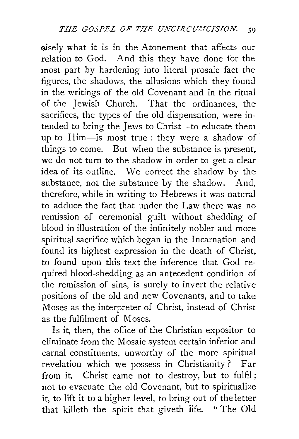gisely what it is in the Atonement that affects our relation to God. And this they have done for the most part by hardening into literal prosaic fact the figures, the shadows, the allusions which they found in the writings of the old Covenant and in the ritual of the Jewish Church. That the ordinances, the sacrifices, the types of the old dispensation, were intended to bring the Jews to Christ-to educate them up to Him-is most true : they were a shadow of things to come. But when the substance is present, we do not turn to the shadow in order to get a clear idea of its outline. We correct the shadow by the substance, not the substance by the shadow. And, therefore, while in writing to Hebrews it was natura] to adduce the fact that under the Law there was no remission of ceremonial guilt without shedding of blood in illustration of the infinitely nobler and more spiritual sacrifice which began in the Incarnation and found its highest expression in the death of Christ, to found upon this text the inference that God required blood-shedding as an antecedent condition of the remission of sins, is surely to invert the relative positions of the old and new Covenants, and to take Moses as the interpreter of Christ, instead of Christ as the fulfilment of Moses.

Is it, then, the office of the Christian expositor to eliminate from the Mosaic system certain inferior and carnal constituents, unworthy of the more spiritual revelation which we possess in Christianity? Far from it. Christ came not to destroy, but to fulfil; not to evacuate the old Covenant, but to spiritualize it, to lift it to a higher level, to bring out of the letter that killeth the spirit that giveth life. "The Old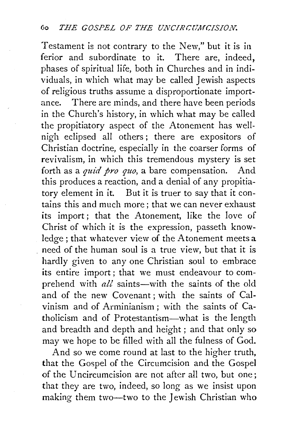Testament is not contrary to the New," but it is in ferior and subordinate to it. There are, indeed, phases of spiritual life, both in Churches and in individuals, in which what may be called Jewish aspects of religious truths assume a disproportionate importance. There are minds, and there have been periods in the Church's history, in which what may be called the propitiatory aspect of the Atonement has wellnigh eclipsed all others ; there are expositors of Christian doctrine, especially in the coarser forms of revivalism, in which this tremendous mystery is set forth as a *quid pro quo,* a bare compensation. And this produces a reaction, and a denial of any propitiatory element in it. But it is truer to say that it contains this and much more ; that we can never exhaust its import; that the Atonement, like the love of Christ of which it is the expression, passeth knowledge; that whatever view of the Atonement meets a . need of the human soul is a true view, but that it is hardly given to any one Christian soul to embrace its entire import ; that we must endeavour to comprehend with *all* saints-with the saints of the old and of the new Covenant; with the saints of Calvinism and of Arminianism ; with the saints of Catholicism and of Protestantism-what is the length and breadth and depth and height ; and that only so may we hope to be filled with all the fulness of God.

And so we come round at last to the higher truth, that the Gospel of the Circumcision and the Gospel of the Uncircumcision are not after all two, but one; that they are two, indeed, so long as we insist upon making them two-two to the Jewish Christian who